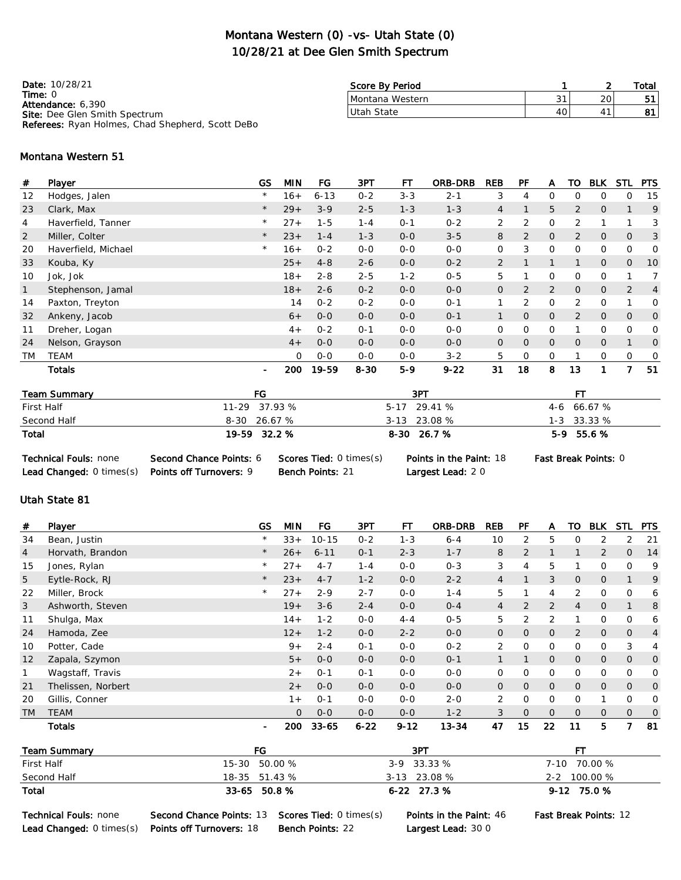## Montana Western (0) -vs- Utah State (0) 10/28/21 at Dee Glen Smith Spectrum

Date: 10/28/21 Time: 0 Attendance: 6,390 Site: Dee Glen Smith Spectrum Referees: Ryan Holmes, Chad Shepherd, Scott DeBo

|                   |   | Total |
|-------------------|---|-------|
| $\mathbf{\Omega}$ | ົ |       |
|                   |   |       |
|                   |   |       |

#### Montana Western 51

| #         | Player              | GS             | <b>MIN</b> | FG       | 3PT      | FТ      | <b>ORB-DRB</b> | <b>REB</b>     | PF             | A              | то             | <b>BLK</b>     | STL            | <b>PTS</b>     |
|-----------|---------------------|----------------|------------|----------|----------|---------|----------------|----------------|----------------|----------------|----------------|----------------|----------------|----------------|
| 12        | Hodges, Jalen       | $\star$        | $16+$      | $6 - 13$ | $0 - 2$  | $3 - 3$ | $2 - 1$        | 3              | 4              | 0              | $\Omega$       | 0              | 0              | 15             |
| 23        | Clark, Max          | $\star$        | $29+$      | $3 - 9$  | $2 - 5$  | $1 - 3$ | $1 - 3$        | 4              |                | 5              | $\overline{2}$ | 0              |                | 9              |
| 4         | Haverfield, Tanner  | $\star$        | $27+$      | $1 - 5$  | $1 - 4$  | $0 - 1$ | $0 - 2$        | $\overline{2}$ | 2              | 0              | 2              |                |                | 3              |
| 2         | Miller, Colter      | $\star$        | $23+$      | $1 - 4$  | $1 - 3$  | $0 - 0$ | $3 - 5$        | 8              | $\overline{2}$ | 0              | $\overline{2}$ | $\overline{O}$ | 0              | 3              |
| 20        | Haverfield, Michael | $^{\star}$     | $16+$      | $0 - 2$  | $0-0$    | $0 - 0$ | $0 - 0$        | 0              | 3              | 0              | 0              | 0              | 0              | 0              |
| 33        | Kouba, Ky           |                | $25+$      | $4 - 8$  | $2 - 6$  | $0 - 0$ | $0 - 2$        | $\overline{2}$ |                |                |                | $\overline{O}$ | 0              | 10             |
| 10        | Jok, Jok            |                | $18 +$     | $2 - 8$  | $2 - 5$  | $1 - 2$ | $0 - 5$        | 5              |                | 0              | $\Omega$       | 0              |                |                |
| 1         | Stephenson, Jamal   |                | $18 +$     | $2 - 6$  | $0 - 2$  | $0 - 0$ | $0 - 0$        | $\overline{O}$ | $\overline{2}$ | $\overline{2}$ | $\Omega$       | $\overline{O}$ | $\overline{2}$ | $\overline{4}$ |
| 14        | Paxton, Treyton     |                | 14         | $0 - 2$  | $0 - 2$  | $0 - 0$ | $O - 1$        |                | $\overline{2}$ | $\Omega$       | 2              | 0              |                | 0              |
| 32        | Ankeny, Jacob       |                | $6+$       | $0 - 0$  | $0 - 0$  | $0 - 0$ | $O - 1$        |                | $\Omega$       | $\Omega$       | $\overline{2}$ | $\overline{O}$ | $\Omega$       | $\overline{O}$ |
| 11        | Dreher, Logan       |                | $4+$       | $0 - 2$  | $0 - 1$  | $0 - 0$ | $0 - 0$        | 0              | 0              | 0              |                | 0              | 0              | 0              |
| 24        | Nelson, Grayson     |                | $4+$       | $0 - 0$  | $0 - 0$  | $0 - 0$ | $0 - 0$        | $\overline{O}$ | $\Omega$       | $\overline{O}$ | $\Omega$       | $\overline{O}$ |                | $\Omega$       |
| <b>TM</b> | <b>TEAM</b>         |                | 0          | $0 - 0$  | $0 - 0$  | $0 - 0$ | $3 - 2$        | 5              | 0              | 0              |                | 0              | 0              | 0              |
|           | Totals              | $\blacksquare$ | 200        | 19-59    | $8 - 30$ | $5-9$   | $9 - 22$       | 31             | 18             | 8              | 13             | 1              | 7              | 51             |

| <b>Team Summary</b>          | FG                                              | 3PT                            | FТ                   |
|------------------------------|-------------------------------------------------|--------------------------------|----------------------|
| First Half                   | 11-29 37.93 %                                   | 5-17 29.41 %                   | 4-6 66.67 %          |
| Second Half                  | $8-30$ 26.67 %                                  | $3-13$ 23.08 %                 | $1 - 3$ 33.33 %      |
| Total                        | 19-59 32.2 %                                    | $8-30$ 26.7 %                  | $5-9$ 55.6 %         |
| <b>Technical Fouls: none</b> | Second Chance Points: 6 Scores Tied: 0 times(s) | <b>Points in the Paint: 18</b> | Fast Break Points: 0 |

Lead Changed: 0 times(s) Points off Turnovers: 9 Bench Points: 21 Largest Lead: 2 0

#### Utah State 81

| #              | Player                    |           | <b>GS</b> | <b>MIN</b>     | FG         | 3PT      | FT       | <b>ORB-DRB</b> | <b>REB</b>     | PF             | A              | TO             | <b>BLK</b>     | STL            | <b>PTS</b>     |  |
|----------------|---------------------------|-----------|-----------|----------------|------------|----------|----------|----------------|----------------|----------------|----------------|----------------|----------------|----------------|----------------|--|
| 34             | Bean, Justin              |           | $\star$   | $33+$          | $10 - 15$  | $0 - 2$  | $1 - 3$  | $6 - 4$        | 10             | 2              | 5              | 0              | 2              | 2              | 21             |  |
| $\overline{4}$ | Horvath, Brandon          |           | $\star$   | $26+$          | $6 - 11$   | $0 - 1$  | $2 - 3$  | $1 - 7$        | 8              | $\overline{2}$ |                |                | $\overline{2}$ | $\overline{O}$ | 14             |  |
| 15             | Jones, Rylan              |           | $\star$   | $27+$          | $4 - 7$    | $1 - 4$  | $0 - 0$  | $0 - 3$        | 3              | 4              | 5              |                | $\overline{0}$ | $\Omega$       | 9              |  |
| 5              | Eytle-Rock, RJ            |           | $\star$   | $23+$          | $4 - 7$    | $1 - 2$  | $0-0$    | $2 - 2$        | $\overline{4}$ |                | 3              | $\mathbf{O}$   | $\overline{0}$ |                | 9              |  |
| 22             | Miller, Brock             |           | $\star$   | $27+$          | $2 - 9$    | $2 - 7$  | $0 - 0$  | $1 - 4$        | 5              |                | 4              | 2              | 0              | 0              | 6              |  |
| 3              | Ashworth, Steven          |           |           | $19+$          | $3 - 6$    | $2 - 4$  | $0-0$    | $0 - 4$        | $\overline{4}$ | 2              | $\overline{2}$ | 4              | $\mathbf 0$    |                | 8              |  |
| 11             | Shulga, Max               |           |           | $14 +$         | $1 - 2$    | $0-0$    | $4 - 4$  | $0 - 5$        | 5              | 2              | 2              |                | 0              | 0              | 6              |  |
| 24             | Hamoda, Zee               |           |           | $12 +$         | $1 - 2$    | $0 - 0$  | $2 - 2$  | $0 - 0$        | $\overline{O}$ | $\overline{O}$ | $\overline{O}$ | 2              | $\mathbf{O}$   | $\overline{O}$ | $\overline{4}$ |  |
| 10             | Potter, Cade              |           |           | $9+$           | $2 - 4$    | $0 - 1$  | $0-0$    | $0 - 2$        | 2              | $\mathbf 0$    | 0              | 0              | 0              | 3              | 4              |  |
| 12             | Zapala, Szymon            |           |           | $5+$           | $0 - 0$    | $0 - 0$  | $0 - 0$  | $0 - 1$        | $\mathbf{1}$   |                | $\mathbf{O}$   | $\overline{O}$ | $\mathbf{O}$   | $\mathbf 0$    | $\mathbf{O}$   |  |
| $\mathbf{1}$   | Wagstaff, Travis          |           |           | $2+$           | $O - 1$    | $0 - 1$  | $0 - 0$  | $O-O$          | 0              | 0              | 0              | 0              | 0              | 0              | 0              |  |
| 21             | Thelissen, Norbert        |           |           | $2+$           | $0 - 0$    | $0-0$    | $O-O$    | $O-O$          | $\mathbf{O}$   | $\mathbf{0}$   | $\mathsf{O}$   | $\mathbf{0}$   | $\mathbf 0$    | $\overline{0}$ | $\mathbf 0$    |  |
| 20             | Gillis, Conner            |           |           | $1+$           | $O - 1$    | $0 - 0$  | $0 - 0$  | $2 - 0$        | 2              | 0              | 0              | 0              |                | $\mathbf 0$    | $\mathbf 0$    |  |
| <b>TM</b>      | <b>TEAM</b>               |           |           | $\overline{O}$ | $0 - 0$    | $O-O$    | $0 - 0$  | $1 - 2$        | 3              | $\overline{O}$ | $\overline{O}$ | $\overline{0}$ | $\overline{O}$ | $\overline{O}$ | $\circ$        |  |
|                | <b>Totals</b>             |           | ۰         | 200            | $33 - 65$  | $6 - 22$ | $9 - 12$ | $13 - 34$      | 47             | 15             | 22             | 11             | 5              | 7              | 81             |  |
|                | FG<br><b>Team Summary</b> |           |           | 3PT            |            |          |          |                | <b>FT</b>      |                |                |                |                |                |                |  |
|                | First Half                | $15 - 30$ |           | 50.00 %        |            |          | $3 - 9$  | 33.33 %        |                |                | $7 - 10$       |                | 70.00 %        |                |                |  |
|                | Second Half               | 18-35     |           | 51.43 %        |            |          | $3 - 13$ | 23.08 %        |                |                | $2 - 2$        | 100.00 %       |                |                |                |  |
| Total          |                           | 33-65     | 50.8%     |                | 6-22 27.3% |          |          | 9-12 75.0 %    |                |                |                |                |                |                |                |  |

Technical Fouls: none Second Chance Points: 13 Scores Tied: 0 times(s) Points in the Paint: 46 Fast Break Points: 12 Lead Changed: 0 times(s) Points off Turnovers: 18 Bench Points: 22 Largest Lead: 30 0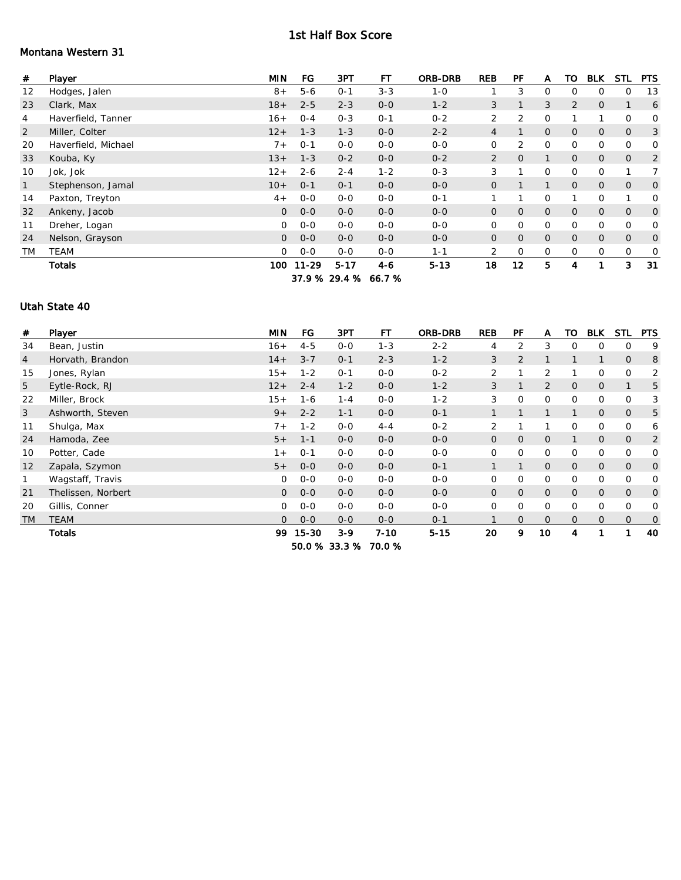#### 1st Half Box Score

### Montana Western 31

| #              | Player              | <b>MIN</b>     | FG        | 3PT           | <b>FT</b> | <b>ORB-DRB</b> | <b>REB</b>     | PF             | A              | TO             | <b>BLK</b>     | <b>STL</b>     | <b>PTS</b>   |
|----------------|---------------------|----------------|-----------|---------------|-----------|----------------|----------------|----------------|----------------|----------------|----------------|----------------|--------------|
| 12             | Hodges, Jalen       | $8+$           | $5 - 6$   | $0 - 1$       | $3 - 3$   | $1 - 0$        |                | 3              | $\mathbf 0$    | $\mathbf 0$    | 0              | O              | 13           |
| 23             | Clark, Max          | $18+$          | $2 - 5$   | $2 - 3$       | $0 - 0$   | $1 - 2$        | 3              | 1              | 3              | 2              | $\overline{O}$ |                | 6            |
| 4              | Haverfield, Tanner  | $16+$          | $0 - 4$   | $0 - 3$       | $0 - 1$   | $0 - 2$        | 2              | 2              | $\mathbf 0$    |                |                | $\mathbf 0$    | 0            |
| $\overline{2}$ | Miller, Colter      | $12+$          | $1 - 3$   | $1 - 3$       | $0-0$     | $2 - 2$        | 4              |                | $\overline{0}$ | $\overline{O}$ | $\mathbf 0$    | $\mathbf{O}$   | 3            |
| 20             | Haverfield, Michael | $7+$           | $0 - 1$   | $0-0$         | $0-0$     | $0-0$          | 0              | 2              | 0              | 0              | $\mathsf{O}$   | 0              | 0            |
| 33             | Kouba, Ky           | $13+$          | $1 - 3$   | $0 - 2$       | $0-0$     | $0 - 2$        | $\overline{2}$ | $\overline{O}$ | $\mathbf{1}$   | $\overline{O}$ | $\mathbf 0$    | $\mathbf{O}$   | 2            |
| 10             | Jok, Jok            | $12+$          | $2 - 6$   | $2 - 4$       | $1 - 2$   | $0 - 3$        | 3              |                | $\mathbf 0$    | 0              | $\circ$        |                | 7            |
| 1              | Stephenson, Jamal   | $10+$          | $0 - 1$   | $0 - 1$       | $0-0$     | $0-0$          | $\mathbf{O}$   |                | $\mathbf{1}$   | $\overline{O}$ | $\mathbf{0}$   | $\overline{O}$ | 0            |
| 14             | Paxton, Treyton     | $4+$           | $O - O$   | $0 - 0$       | $0 - 0$   | $0 - 1$        |                | 1              | $\mathbf 0$    |                | $\circ$        | 1              | $\mathbf 0$  |
| 32             | Ankeny, Jacob       | $\overline{O}$ | $0-0$     | $0 - 0$       | $O-O$     | $0-0$          | $\overline{O}$ | $\overline{0}$ | $\overline{O}$ | $\overline{O}$ | $\overline{0}$ | $\overline{O}$ | $\mathbf{O}$ |
| 11             | Dreher, Logan       | $\overline{0}$ | $0-0$     | $0 - 0$       | $O-O$     | $O-O$          | 0              | 0              | $\mathbf 0$    | $\circ$        | $\mathsf{O}$   | $\mathbf 0$    | 0            |
| 24             | Nelson, Grayson     | $\overline{O}$ | $0 - 0$   | $0 - 0$       | $O-O$     | $0 - 0$        | $\overline{0}$ | $\overline{0}$ | $\overline{O}$ | $\overline{O}$ | $\overline{O}$ | $\overline{O}$ | 0            |
| <b>TM</b>      | <b>TEAM</b>         | $\Omega$       | $0-0$     | $0 - 0$       | $0-0$     | $1 - 1$        | 2              | $\mathbf 0$    | $\mathbf 0$    | $\mathsf{O}$   | $\mathsf{O}$   | $\mathbf 0$    | 0            |
|                | Totals              | 100 .          | $11 - 29$ | $5 - 17$      | $4 - 6$   | $5 - 13$       | 18             | 12             | 5              | 4              |                | 3              | 31           |
|                |                     |                |           | 37.9 % 29.4 % | 66.7%     |                |                |                |                |                |                |                |              |

#### Utah State 40

| #              | Player             | <b>MIN</b>     | FG            | 3PT     | <b>FT</b> | <b>ORB-DRB</b> | <b>REB</b>     | PF             | A              | то             | <b>BLK</b>     | <b>STL</b>     | <b>PTS</b>     |
|----------------|--------------------|----------------|---------------|---------|-----------|----------------|----------------|----------------|----------------|----------------|----------------|----------------|----------------|
| 34             | Bean, Justin       | $16+$          | $4 - 5$       | $0 - 0$ | $1 - 3$   | $2 - 2$        | 4              | 2              | 3              | $\mathbf 0$    | $\overline{0}$ | 0              | 9              |
| $\overline{4}$ | Horvath, Brandon   | $14+$          | $3 - 7$       | $0 - 1$ | $2 - 3$   | $1 - 2$        | 3              | 2              | 1              |                | 1              | $\circ$        | 8              |
| 15             | Jones, Rylan       | $15+$          | $1 - 2$       | $0 - 1$ | $0 - 0$   | $0 - 2$        | $\overline{2}$ |                | $\overline{2}$ |                | $\overline{0}$ | $\Omega$       | 2              |
| 5              | Eytle-Rock, RJ     | $12+$          | $2 - 4$       | $1 - 2$ | $0-0$     | $1 - 2$        | 3              |                | 2              | $\overline{O}$ | $\mathbf 0$    |                | 5              |
| 22             | Miller, Brock      | $15+$          | $1 - 6$       | $1 - 4$ | $0-0$     | $1 - 2$        | 3              | $\mathbf 0$    | $\mathbf{O}$   | $\mathbf{0}$   | $\overline{0}$ | 0              | 3              |
| 3              | Ashworth, Steven   | $9+$           | $2 - 2$       | $1 - 1$ | $0 - 0$   | $O - 1$        | $\mathbf{1}$   |                |                | $\mathbf{1}$   | $\mathbf 0$    | $\mathbf{0}$   | 5              |
| 11             | Shulga, Max        | $7+$           | $1 - 2$       | $O-O$   | $4 - 4$   | $0 - 2$        | $\overline{2}$ |                | $\mathbf{1}$   | 0              | $\overline{0}$ | 0              | 6              |
| 24             | Hamoda, Zee        | $5+$           | $1 - 1$       | $0 - 0$ | $0-0$     | $O-O$          | $\mathbf{O}$   | $\mathbf{O}$   | $\overline{0}$ |                | $\mathbf 0$    | $\mathbf{0}$   | $\overline{2}$ |
| 10             | Potter, Cade       | $1+$           | $0 - 1$       | $0-0$   | $0-0$     | $0-0$          | $\overline{0}$ | $\mathbf 0$    | $\mathbf{O}$   | 0              | $\overline{0}$ | 0              | 0              |
| 12             | Zapala, Szymon     | $5+$           | $0 - 0$       | $0 - 0$ | $0 - 0$   | $0 - 1$        | $\mathbf{1}$   | $\mathbf{1}$   | $\overline{O}$ | $\overline{O}$ | $\overline{O}$ | $\overline{O}$ | $\mathbf{O}$   |
| 1              | Wagstaff, Travis   | $\circ$        | $0-0$         | $0-0$   | $O-O$     | $0-0$          | $\mathbf{O}$   | $\mathbf{O}$   | 0              | 0              | $\overline{0}$ | $\Omega$       | 0              |
| 21             | Thelissen, Norbert | $\overline{0}$ | $0-0$         | $0 - 0$ | $0-0$     | $0-0$          | $\mathbf{O}$   | $\mathbf{O}$   | $\mathbf{O}$   | $\overline{0}$ | $\mathbf{O}$   | $\overline{O}$ | $\mathbf{O}$   |
| 20             | Gillis, Conner     | $\circ$        | $0 - 0$       | $0 - 0$ | $0-0$     | $0 - 0$        | $\overline{0}$ | 0              | $\mathbf{O}$   | 0              | $\overline{0}$ | 0              | 0              |
| <b>TM</b>      | <b>TEAM</b>        | $\Omega$       | $0 - 0$       | $0 - 0$ | $0 - 0$   | $0 - 1$        |                | $\overline{O}$ | $\Omega$       | $\overline{0}$ | $\overline{0}$ | $\Omega$       | $\mathbf 0$    |
|                | <b>Totals</b>      | 99             | 15-30         | $3-9$   | $7 - 10$  | $5 - 15$       | 20             | 9              | 10             | 4              |                |                | 40             |
|                |                    |                | 50.0 % 33.3 % |         | 70.0%     |                |                |                |                |                |                |                |                |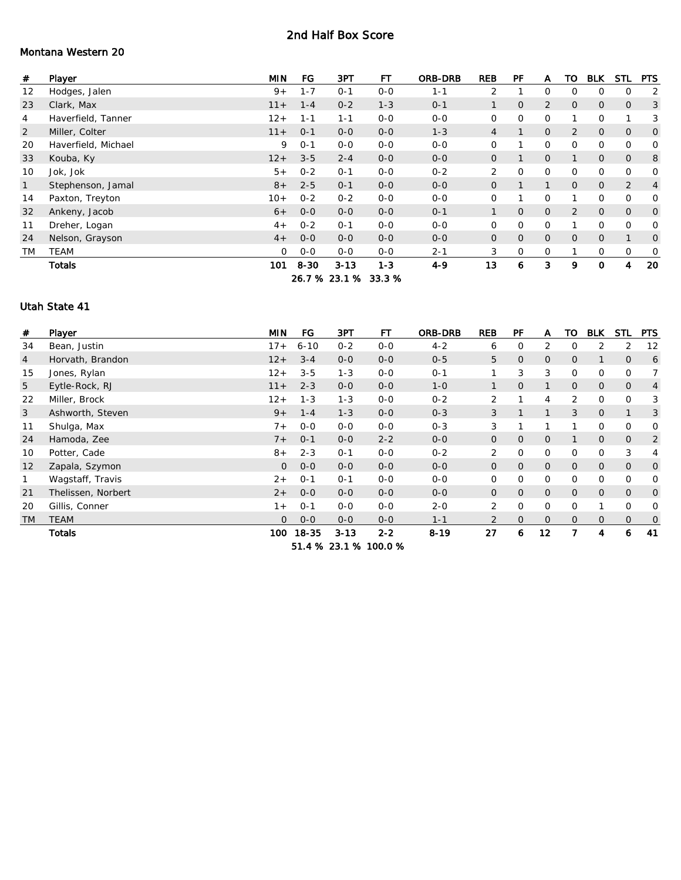#### 2nd Half Box Score

## Montana Western 20

| #              | Player              | <b>MIN</b> | FG      | 3PT           | FT      | <b>ORB-DRB</b> | <b>REB</b>     | PF             | A              | то             | <b>BLK</b>     | <b>STL</b>     | <b>PTS</b>   |
|----------------|---------------------|------------|---------|---------------|---------|----------------|----------------|----------------|----------------|----------------|----------------|----------------|--------------|
| 12             | Hodges, Jalen       | $9+$       | $1 - 7$ | $0 - 1$       | $0-0$   | $1 - 1$        | 2              |                | $\mathbf 0$    | $\mathbf 0$    | 0              | 0              | 2            |
| 23             | Clark, Max          | $11 +$     | $1 - 4$ | $0 - 2$       | $1 - 3$ | $O - 1$        | $\mathbf{1}$   | $\overline{O}$ | 2              | $\overline{O}$ | $\mathbf{O}$   | $\mathbf{O}$   | 3            |
| 4              | Haverfield, Tanner  | $12+$      | $1 - 1$ | $1 - 1$       | $0 - 0$ | $0 - 0$        | $\overline{0}$ | 0              | $\circ$        |                | $\mathbf 0$    |                | 3            |
| $\overline{2}$ | Miller, Colter      | $11 +$     | $O - 1$ | $0 - 0$       | $0-0$   | $1 - 3$        | $\overline{4}$ |                | $\mathbf{O}$   | 2              | $\mathbf 0$    | $\overline{O}$ | $\mathbf{O}$ |
| 20             | Haverfield, Michael | 9          | $O - 1$ | $0-0$         | $0-0$   | $0-0$          | $\overline{0}$ |                | $\mathbf{O}$   | 0              | $\overline{0}$ | 0              | 0            |
| 33             | Kouba, Ky           | $12+$      | $3 - 5$ | $2 - 4$       | $O-O$   | $0 - 0$        | $\mathbf{O}$   | 1              | $\overline{O}$ | 1              | $\overline{0}$ | $\overline{O}$ | 8            |
| 10             | Jok, Jok            | $5+$       | $0 - 2$ | $0 - 1$       | $0 - 0$ | $0 - 2$        | $\overline{2}$ | $\mathbf 0$    | $\mathbf{O}$   | 0              | $\mathbf 0$    | 0              | 0            |
| $\mathbf{1}$   | Stephenson, Jamal   | $8+$       | $2 - 5$ | $0 - 1$       | $0-0$   | $0 - 0$        | $\mathbf{O}$   |                | $\mathbf{1}$   | $\overline{O}$ | $\overline{O}$ | $\overline{2}$ | 4            |
| 14             | Paxton, Treyton     | $10+$      | $0 - 2$ | $0 - 2$       | $0-0$   | $O-O$          | $\mathbf 0$    |                | $\mathbf 0$    |                | $\mathbf 0$    | 0              | 0            |
| 32             | Ankeny, Jacob       | $6+$       | $0 - 0$ | $0 - 0$       | $0 - 0$ | $0 - 1$        |                | $\overline{O}$ | $\overline{0}$ | 2              | $\overline{O}$ | $\overline{O}$ | $\mathbf{O}$ |
| 11             | Dreher, Logan       | $4+$       | $O - 2$ | $O - 1$       | $0-0$   | $0 - 0$        | $\circ$        | $\mathbf 0$    | $\circ$        |                | $\mathbf{O}$   | 0              | 0            |
| 24             | Nelson, Grayson     | $4+$       | $0 - 0$ | $0 - 0$       | $O - O$ | $0 - 0$        | $\overline{O}$ | $\overline{O}$ | $\overline{O}$ | $\overline{O}$ | $\mathbf 0$    | $\mathbf{1}$   | 0            |
| <b>TM</b>      | <b>TEAM</b>         | $\Omega$   | $0-0$   | $0 - 0$       | $O-O$   | $2 - 1$        | 3              | 0              | 0              |                | 0              | 0              | 0            |
|                | <b>Totals</b>       | 101        | 8-30    | $3 - 13$      | $1 - 3$ | $4 - 9$        | 13             | 6              | 3              | 9              | $\mathbf 0$    | 4              | 20           |
|                |                     |            |         | 26.7 % 23.1 % | 33.3%   |                |                |                |                |                |                |                |              |

#### Utah State 41

| #              | Player             | <b>MIN</b> | <b>FG</b> | 3PT      | FТ                    | ORB-DRB  | <b>REB</b>     | PF             | A              | TO             | <b>BLK</b>     | <b>STL</b>     | <b>PTS</b>     |
|----------------|--------------------|------------|-----------|----------|-----------------------|----------|----------------|----------------|----------------|----------------|----------------|----------------|----------------|
| 34             | Bean, Justin       | $17 +$     | $6 - 10$  | $0 - 2$  | $0 - 0$               | $4 - 2$  | 6              | $\mathbf 0$    | 2              | $\Omega$       | 2              | 2              | 12             |
| $\overline{4}$ | Horvath, Brandon   | $12+$      | $3 - 4$   | $0 - 0$  | $0 - 0$               | $0 - 5$  | 5              | $\overline{O}$ | $\overline{O}$ | $\circ$        | $\mathbf{1}$   | $\overline{O}$ | 6              |
| 15             | Jones, Rylan       | $12+$      | $3 - 5$   | $1 - 3$  | $0 - 0$               | $O - 1$  | 1              | 3              | 3              | $\Omega$       | 0              | 0              | $\overline{7}$ |
| 5              | Eytle-Rock, RJ     | $11 +$     | $2 - 3$   | $0 - 0$  | $0-0$                 | $1 - 0$  |                | $\mathbf 0$    |                | $\circ$        | $\mathbf{O}$   | $\overline{O}$ | $\overline{4}$ |
| 22             | Miller, Brock      | $12+$      | $1 - 3$   | $1 - 3$  | $0 - 0$               | $0 - 2$  | 2              | 1              | $\overline{4}$ | 2              | $\overline{0}$ | 0              | 3              |
| 3              | Ashworth, Steven   | $9+$       | $1 - 4$   | $1 - 3$  | $0 - 0$               | $0 - 3$  | 3              | $\mathbf{1}$   | $\mathbf{1}$   | 3              | $\overline{0}$ |                | 3              |
| 11             | Shulga, Max        | $7+$       | $0 - 0$   | $0-0$    | $O-O$                 | $0 - 3$  | 3              | 1              | 1              |                | 0              | 0              | 0              |
| 24             | Hamoda, Zee        | $7+$       | $O - 1$   | $0 - 0$  | $2 - 2$               | $0-0$    | $\mathbf{O}$   | $\mathbf 0$    | $\overline{O}$ |                | $\mathbf 0$    | 0              | 2              |
| 10             | Potter, Cade       | $8+$       | $2 - 3$   | $0 - 1$  | $0-0$                 | $0 - 2$  | 2              | $\mathbf 0$    | $\mathbf 0$    | $\mathbf 0$    | $\mathbf{O}$   | 3              | 4              |
| 12             | Zapala, Szymon     | $\Omega$   | $0 - 0$   | $0 - 0$  | $O - O$               | $0 - 0$  | $\overline{0}$ | $\overline{O}$ | $\overline{O}$ | $\overline{O}$ | $\overline{0}$ | $\overline{O}$ | $\mathbf{O}$   |
| 1              | Wagstaff, Travis   | $2+$       | $O - 1$   | $0 - 1$  | $O-O$                 | $O-O$    | 0              | $\mathbf{O}$   | $\mathbf 0$    | $\mathbf 0$    | 0              | 0              | $\mathbf 0$    |
| 21             | Thelissen, Norbert | $2+$       | $0 - 0$   | $0 - 0$  | $0-0$                 | $0-0$    | $\mathbf{O}$   | $\overline{O}$ | $\overline{0}$ | $\overline{O}$ | $\mathbf{0}$   | $\overline{O}$ | $\mathbf{O}$   |
| 20             | Gillis, Conner     | $1 +$      | $0 - 1$   | $0 - 0$  | $0-0$                 | $2 - 0$  | $\overline{2}$ | 0              | $\mathbf 0$    | $\mathbf 0$    |                | 0              | 0              |
| <b>TM</b>      | <b>TEAM</b>        | $\Omega$   | $0 - 0$   | $0 - 0$  | $0 - 0$               | $1 - 1$  | $\overline{2}$ | $\overline{O}$ | $\Omega$       | $\Omega$       | $\mathbf{0}$   | $\overline{O}$ | 0              |
|                | <b>Totals</b>      | 100        | 18-35     | $3 - 13$ | $2 - 2$               | $8 - 19$ | 27             | 6              | 12             | 7              | 4              | 6              | 41             |
|                |                    |            |           |          | 51.4 % 23.1 % 100.0 % |          |                |                |                |                |                |                |                |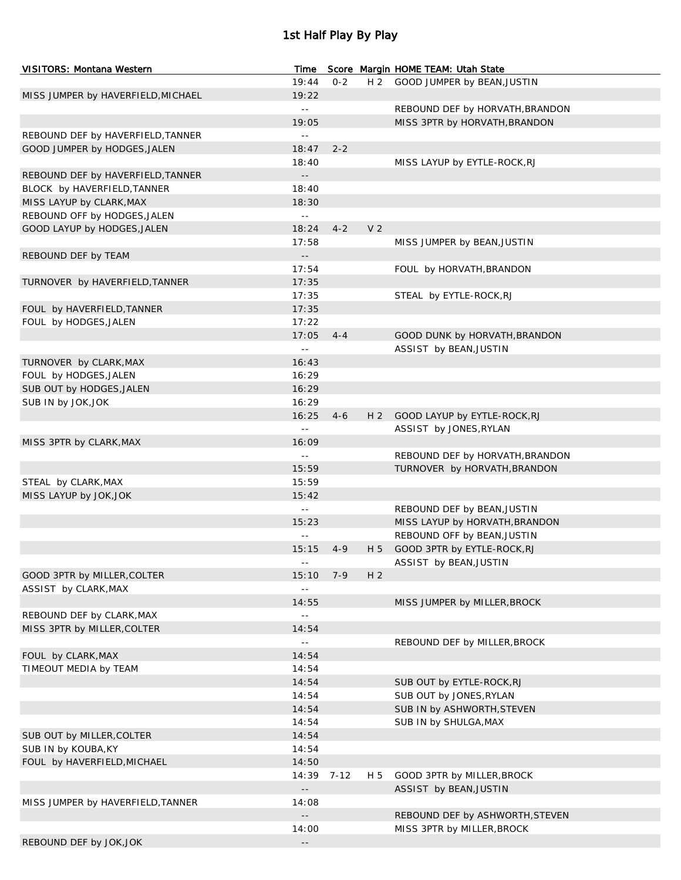# 1st Half Play By Play

| VISITORS: Montana Western          | Time                      |         |                | Score Margin HOME TEAM: Utah State |
|------------------------------------|---------------------------|---------|----------------|------------------------------------|
|                                    | 19:44                     | $0 - 2$ |                | H 2 GOOD JUMPER by BEAN, JUSTIN    |
| MISS JUMPER by HAVERFIELD, MICHAEL | 19:22                     |         |                |                                    |
|                                    | $\mathbb{L}^{\perp}$      |         |                | REBOUND DEF by HORVATH, BRANDON    |
|                                    | 19:05                     |         |                | MISS 3PTR by HORVATH, BRANDON      |
| REBOUND DEF by HAVERFIELD, TANNER  | $\mathbb{L} \mathbb{L}$   |         |                |                                    |
| GOOD JUMPER by HODGES, JALEN       | 18:47                     | $2 - 2$ |                |                                    |
|                                    | 18:40                     |         |                | MISS LAYUP by EYTLE-ROCK, RJ       |
| REBOUND DEF by HAVERFIELD, TANNER  | $\sim$ $\sim$             |         |                |                                    |
| BLOCK by HAVERFIELD, TANNER        | 18:40                     |         |                |                                    |
| MISS LAYUP by CLARK, MAX           | 18:30                     |         |                |                                    |
| REBOUND OFF by HODGES, JALEN       | $\mathbb{L}(\mathbb{L})$  |         |                |                                    |
| GOOD LAYUP by HODGES, JALEN        | 18:24                     | $4 - 2$ | V <sub>2</sub> |                                    |
|                                    | 17:58                     |         |                | MISS JUMPER by BEAN, JUSTIN        |
| REBOUND DEF by TEAM                | $\sim$ $\sim$             |         |                |                                    |
|                                    | 17:54                     |         |                | FOUL by HORVATH, BRANDON           |
| TURNOVER by HAVERFIELD, TANNER     | 17:35                     |         |                |                                    |
|                                    | 17:35                     |         |                | STEAL by EYTLE-ROCK, RJ            |
| FOUL by HAVERFIELD, TANNER         | 17:35                     |         |                |                                    |
| FOUL by HODGES, JALEN              | 17:22                     |         |                |                                    |
|                                    | 17:05                     | $4 - 4$ |                | GOOD DUNK by HORVATH, BRANDON      |
|                                    | $\sim$ $\sim$             |         |                | ASSIST by BEAN, JUSTIN             |
| TURNOVER by CLARK, MAX             | 16:43                     |         |                |                                    |
| FOUL by HODGES, JALEN              | 16:29                     |         |                |                                    |
| SUB OUT by HODGES, JALEN           | 16:29                     |         |                |                                    |
| SUB IN by JOK, JOK                 | 16:29                     |         |                |                                    |
|                                    | 16:25                     | $4 - 6$ |                | H 2 GOOD LAYUP by EYTLE-ROCK, RJ   |
|                                    | $\sim$ $\sim$             |         |                | ASSIST by JONES, RYLAN             |
| MISS 3PTR by CLARK, MAX            | 16:09                     |         |                |                                    |
|                                    | $\sim$ $\sim$             |         |                | REBOUND DEF by HORVATH, BRANDON    |
|                                    | 15:59                     |         |                | TURNOVER by HORVATH, BRANDON       |
| STEAL by CLARK, MAX                | 15:59                     |         |                |                                    |
| MISS LAYUP by JOK, JOK             | 15:42                     |         |                |                                    |
|                                    | $\mathbb{L}^{\mathbb{L}}$ |         |                | REBOUND DEF by BEAN, JUSTIN        |
|                                    | 15:23                     |         |                | MISS LAYUP by HORVATH, BRANDON     |
|                                    | $\mathbb{L} \mathbb{L}$   |         |                | REBOUND OFF by BEAN, JUSTIN        |
|                                    | 15:15                     | $4 - 9$ |                | H 5 GOOD 3PTR by EYTLE-ROCK, RJ    |
|                                    |                           |         |                | ASSIST by BEAN, JUSTIN             |
| GOOD 3PTR by MILLER, COLTER        | 15:10                     | 7-9     | H <sub>2</sub> |                                    |
| ASSIST by CLARK, MAX               | $\mathbb{L} \mathbb{L}$   |         |                |                                    |
|                                    | 14:55                     |         |                | MISS JUMPER by MILLER, BROCK       |
| REBOUND DEF by CLARK, MAX          | $\mathbb{L} \mathbb{L}$   |         |                |                                    |
| MISS 3PTR by MILLER, COLTER        | 14:54                     |         |                |                                    |
|                                    | $\mathbb{L} \mathbb{L}$   |         |                | REBOUND DEF by MILLER, BROCK       |
| FOUL by CLARK, MAX                 | 14:54                     |         |                |                                    |
| TIMEOUT MEDIA by TEAM              | 14:54                     |         |                |                                    |
|                                    | 14:54                     |         |                | SUB OUT by EYTLE-ROCK, RJ          |
|                                    | 14:54                     |         |                | SUB OUT by JONES, RYLAN            |
|                                    | 14:54                     |         |                | SUB IN by ASHWORTH, STEVEN         |
|                                    | 14:54                     |         |                | SUB IN by SHULGA, MAX              |
| SUB OUT by MILLER, COLTER          | 14:54                     |         |                |                                    |
|                                    | 14:54                     |         |                |                                    |
| SUB IN by KOUBA, KY                | 14:50                     |         |                |                                    |
| FOUL by HAVERFIELD, MICHAEL        |                           |         |                |                                    |
|                                    | 14:39                     | 7-12    | H 5            | GOOD 3PTR by MILLER, BROCK         |
|                                    | $\sim$ $\sim$             |         |                | ASSIST by BEAN, JUSTIN             |
| MISS JUMPER by HAVERFIELD, TANNER  | 14:08                     |         |                |                                    |
|                                    | $- -$                     |         |                | REBOUND DEF by ASHWORTH, STEVEN    |
| REBOUND DEF by JOK, JOK            | 14:00                     |         |                | MISS 3PTR by MILLER, BROCK         |
|                                    | $- -$                     |         |                |                                    |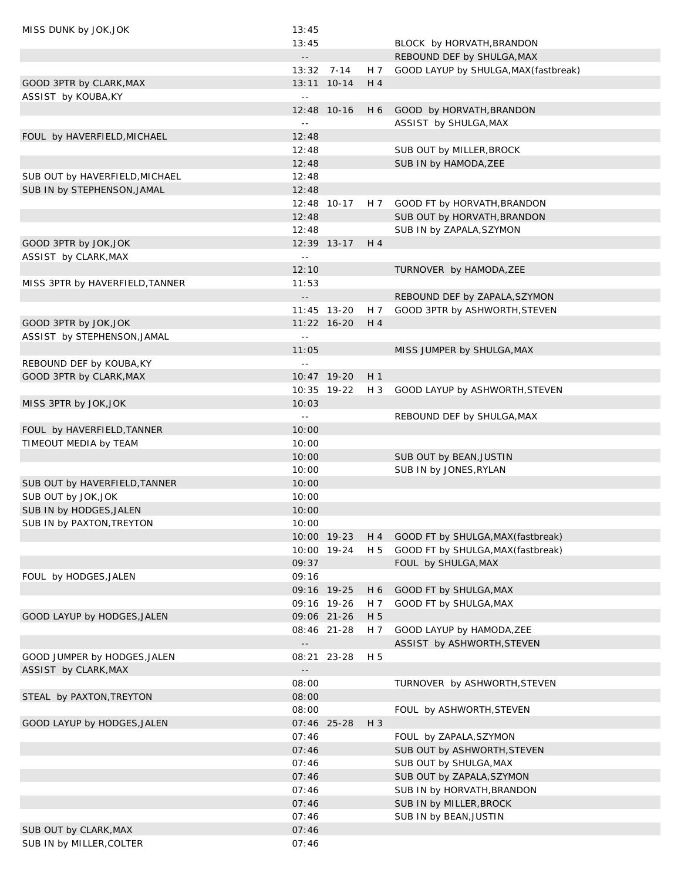| MISS DUNK by JOK, JOK           | 13:45                      |               |                |                                        |
|---------------------------------|----------------------------|---------------|----------------|----------------------------------------|
|                                 | 13:45                      |               |                | BLOCK by HORVATH, BRANDON              |
|                                 | $\overline{\phantom{a}}$ . |               |                | REBOUND DEF by SHULGA, MAX             |
|                                 |                            | $13:32$ 7-14  | H 7            | GOOD LAYUP by SHULGA, MAX (fastbreak)  |
| GOOD 3PTR by CLARK, MAX         |                            | 13:11 10-14   | H 4            |                                        |
| ASSIST by KOUBA, KY             | $\sim$ $\sim$              |               |                |                                        |
|                                 |                            | 12:48 10-16   |                | H 6 GOOD by HORVATH, BRANDON           |
|                                 | $\sim$ $-$                 |               |                | ASSIST by SHULGA, MAX                  |
| FOUL by HAVERFIELD, MICHAEL     | 12:48                      |               |                |                                        |
|                                 | 12:48                      |               |                | SUB OUT by MILLER, BROCK               |
|                                 | 12:48                      |               |                | SUB IN by HAMODA, ZEE                  |
|                                 | 12:48                      |               |                |                                        |
| SUB OUT by HAVERFIELD, MICHAEL  |                            |               |                |                                        |
| SUB IN by STEPHENSON, JAMAL     | 12:48                      |               |                |                                        |
|                                 |                            | 12:48 10-17   |                | H 7 GOOD FT by HORVATH, BRANDON        |
|                                 | 12:48                      |               |                | SUB OUT by HORVATH, BRANDON            |
|                                 | 12:48                      |               |                | SUB IN by ZAPALA, SZYMON               |
| GOOD 3PTR by JOK, JOK           |                            | 12:39 13-17   | H 4            |                                        |
| ASSIST by CLARK, MAX            | $\sim$ $\sim$              |               |                |                                        |
|                                 | 12:10                      |               |                | TURNOVER by HAMODA, ZEE                |
| MISS 3PTR by HAVERFIELD, TANNER | 11:53                      |               |                |                                        |
|                                 | $\overline{\phantom{a}}$ . |               |                | REBOUND DEF by ZAPALA, SZYMON          |
|                                 |                            | 11:45 13-20   | H 7            | GOOD 3PTR by ASHWORTH, STEVEN          |
| GOOD 3PTR by JOK, JOK           |                            | $11:22$ 16-20 | H 4            |                                        |
| ASSIST by STEPHENSON, JAMAL     | $\sim$ $-$                 |               |                |                                        |
|                                 | 11:05                      |               |                | MISS JUMPER by SHULGA, MAX             |
| REBOUND DEF by KOUBA, KY        | $\sim$ $-$                 |               |                |                                        |
| GOOD 3PTR by CLARK, MAX         |                            | 10:47 19-20   | H <sub>1</sub> |                                        |
|                                 |                            | 10:35 19-22   | H 3            | GOOD LAYUP by ASHWORTH, STEVEN         |
| MISS 3PTR by JOK, JOK           | 10:03                      |               |                |                                        |
|                                 |                            |               |                |                                        |
|                                 | $\sim$ $\sim$              |               |                | REBOUND DEF by SHULGA, MAX             |
| FOUL by HAVERFIELD, TANNER      | 10:00                      |               |                |                                        |
| TIMEOUT MEDIA by TEAM           | 10:00                      |               |                |                                        |
|                                 | 10:00                      |               |                | SUB OUT by BEAN, JUSTIN                |
|                                 | 10:00                      |               |                | SUB IN by JONES, RYLAN                 |
| SUB OUT by HAVERFIELD, TANNER   | 10:00                      |               |                |                                        |
| SUB OUT by JOK, JOK             | 10:00                      |               |                |                                        |
| SUB IN by HODGES, JALEN         | 10:00                      |               |                |                                        |
| SUB IN by PAXTON, TREYTON       | 10:00                      |               |                |                                        |
|                                 |                            | 10:00 19-23   |                | H 4 GOOD FT by SHULGA, MAX (fastbreak) |
|                                 |                            | 10:00 19-24   | H 5            | GOOD FT by SHULGA, MAX (fastbreak)     |
|                                 | 09:37                      |               |                | FOUL by SHULGA, MAX                    |
| FOUL by HODGES, JALEN           | 09:16                      |               |                |                                        |
|                                 |                            | 09:16 19-25   | H 6            | GOOD FT by SHULGA, MAX                 |
|                                 |                            | 09:16 19-26   | H 7            | GOOD FT by SHULGA, MAX                 |
| GOOD LAYUP by HODGES, JALEN     |                            | 09:06 21-26   | H 5            |                                        |
|                                 |                            | 08:46 21-28   | H 7            | GOOD LAYUP by HAMODA, ZEE              |
|                                 | $\overline{\phantom{a}}$ . |               |                | ASSIST by ASHWORTH, STEVEN             |
| GOOD JUMPER by HODGES, JALEN    |                            | 08:21 23-28   | H 5            |                                        |
| ASSIST by CLARK, MAX            |                            |               |                |                                        |
|                                 | 08:00                      |               |                |                                        |
|                                 |                            |               |                | TURNOVER by ASHWORTH, STEVEN           |
| STEAL by PAXTON, TREYTON        | 08:00                      |               |                |                                        |
|                                 | 08:00                      |               |                | FOUL by ASHWORTH, STEVEN               |
| GOOD LAYUP by HODGES, JALEN     |                            | 07:46 25-28   | $H_3$          |                                        |
|                                 | 07:46                      |               |                | FOUL by ZAPALA, SZYMON                 |
|                                 | 07:46                      |               |                | SUB OUT by ASHWORTH, STEVEN            |
|                                 | 07:46                      |               |                | SUB OUT by SHULGA, MAX                 |
|                                 | 07:46                      |               |                | SUB OUT by ZAPALA, SZYMON              |
|                                 | 07:46                      |               |                | SUB IN by HORVATH, BRANDON             |
|                                 | 07:46                      |               |                | SUB IN by MILLER, BROCK                |
|                                 | 07:46                      |               |                | SUB IN by BEAN, JUSTIN                 |
| SUB OUT by CLARK, MAX           | 07:46                      |               |                |                                        |
| SUB IN by MILLER, COLTER        | 07:46                      |               |                |                                        |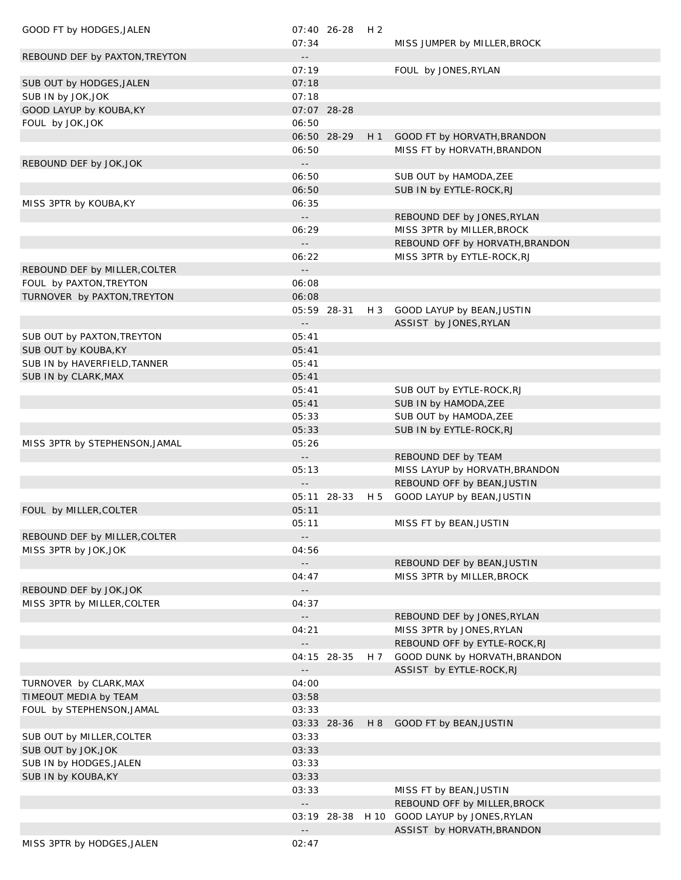| GOOD FT by HODGES, JALEN       | 07:34                                                  | 07:40 26-28 | H 2   | MISS JUMPER by MILLER, BROCK                       |
|--------------------------------|--------------------------------------------------------|-------------|-------|----------------------------------------------------|
| REBOUND DEF by PAXTON, TREYTON | $- \, -$                                               |             |       |                                                    |
|                                | 07:19                                                  |             |       | FOUL by JONES, RYLAN                               |
| SUB OUT by HODGES, JALEN       | 07:18                                                  |             |       |                                                    |
| SUB IN by JOK, JOK             | 07:18                                                  |             |       |                                                    |
| GOOD LAYUP by KOUBA, KY        |                                                        | 07:07 28-28 |       |                                                    |
| FOUL by JOK, JOK               | 06:50                                                  |             |       |                                                    |
|                                |                                                        | 06:50 28-29 | H1    | GOOD FT by HORVATH, BRANDON                        |
|                                | 06:50                                                  |             |       | MISS FT by HORVATH, BRANDON                        |
| REBOUND DEF by JOK, JOK        | $\mathord{\hspace{1pt}\text{--}\hspace{1pt}}$<br>06:50 |             |       |                                                    |
|                                | 06:50                                                  |             |       | SUB OUT by HAMODA, ZEE<br>SUB IN by EYTLE-ROCK, RJ |
| MISS 3PTR by KOUBA, KY         | 06:35                                                  |             |       |                                                    |
|                                | $\mathord{\hspace{1pt}\text{--}\hspace{1pt}}$          |             |       | REBOUND DEF by JONES, RYLAN                        |
|                                | 06:29                                                  |             |       | MISS 3PTR by MILLER, BROCK                         |
|                                | $\mathord{\hspace{1pt}\text{--}\hspace{1pt}}$          |             |       | REBOUND OFF by HORVATH, BRANDON                    |
|                                | 06:22                                                  |             |       | MISS 3PTR by EYTLE-ROCK, RJ                        |
| REBOUND DEF by MILLER, COLTER  | $\overline{\phantom{a}}$ .                             |             |       |                                                    |
| FOUL by PAXTON, TREYTON        | 06:08                                                  |             |       |                                                    |
| TURNOVER by PAXTON, TREYTON    | 06:08                                                  |             |       |                                                    |
|                                |                                                        | 05:59 28-31 | $H_3$ | GOOD LAYUP by BEAN, JUSTIN                         |
|                                | $- \, -$                                               |             |       | ASSIST by JONES, RYLAN                             |
| SUB OUT by PAXTON, TREYTON     | 05:41                                                  |             |       |                                                    |
| SUB OUT by KOUBA, KY           | 05:41                                                  |             |       |                                                    |
| SUB IN by HAVERFIELD, TANNER   | 05:41                                                  |             |       |                                                    |
| SUB IN by CLARK, MAX           | 05:41<br>05:41                                         |             |       | SUB OUT by EYTLE-ROCK, RJ                          |
|                                | 05:41                                                  |             |       | SUB IN by HAMODA, ZEE                              |
|                                | 05:33                                                  |             |       | SUB OUT by HAMODA, ZEE                             |
|                                | 05:33                                                  |             |       | SUB IN by EYTLE-ROCK, RJ                           |
| MISS 3PTR by STEPHENSON, JAMAL | 05:26                                                  |             |       |                                                    |
|                                | $\mathord{\hspace{1pt}\text{--}\hspace{1pt}}$          |             |       | REBOUND DEF by TEAM                                |
|                                | 05:13                                                  |             |       | MISS LAYUP by HORVATH, BRANDON                     |
|                                | $ -$                                                   |             |       | REBOUND OFF by BEAN, JUSTIN                        |
|                                |                                                        | 05:11 28-33 | H 5   | GOOD LAYUP by BEAN, JUSTIN                         |
| FOUL by MILLER, COLTER         | 05:11                                                  |             |       |                                                    |
|                                | 05:11                                                  |             |       | MISS FT by BEAN, JUSTIN                            |
| REBOUND DEF by MILLER, COLTER  | $\sim$ $-$                                             |             |       |                                                    |
| MISS 3PTR by JOK, JOK          | 04:56                                                  |             |       |                                                    |
|                                | $ -$                                                   |             |       | REBOUND DEF by BEAN, JUSTIN                        |
| REBOUND DEF by JOK, JOK        | 04:47<br>$\overline{\phantom{a}}$ .                    |             |       | MISS 3PTR by MILLER, BROCK                         |
| MISS 3PTR by MILLER, COLTER    | 04:37                                                  |             |       |                                                    |
|                                | $\mathord{\hspace{1pt}\text{--}\hspace{1pt}}$          |             |       | REBOUND DEF by JONES, RYLAN                        |
|                                | 04:21                                                  |             |       | MISS 3PTR by JONES, RYLAN                          |
|                                | $\overline{\phantom{a}}$ .                             |             |       | REBOUND OFF by EYTLE-ROCK, RJ                      |
|                                |                                                        | 04:15 28-35 | H 7   | GOOD DUNK by HORVATH, BRANDON                      |
|                                | $\overline{\phantom{a}}$ .                             |             |       | ASSIST by EYTLE-ROCK, RJ                           |
| TURNOVER by CLARK, MAX         | 04:00                                                  |             |       |                                                    |
| TIMEOUT MEDIA by TEAM          | 03:58                                                  |             |       |                                                    |
| FOUL by STEPHENSON, JAMAL      | 03:33                                                  |             |       |                                                    |
|                                |                                                        | 03:33 28-36 | H 8   | GOOD FT by BEAN, JUSTIN                            |
| SUB OUT by MILLER, COLTER      | 03:33                                                  |             |       |                                                    |
| SUB OUT by JOK, JOK            | 03:33                                                  |             |       |                                                    |
| SUB IN by HODGES, JALEN        | 03:33                                                  |             |       |                                                    |
| SUB IN by KOUBA, KY            | 03:33<br>03:33                                         |             |       | MISS FT by BEAN, JUSTIN                            |
|                                | $\overline{\phantom{a}}$ .                             |             |       | REBOUND OFF by MILLER, BROCK                       |
|                                |                                                        |             |       | 03:19 28-38 H 10 GOOD LAYUP by JONES, RYLAN        |
|                                | $- \, -$                                               |             |       | ASSIST by HORVATH, BRANDON                         |
| MISS 3PTR by HODGES, JALEN     | 02:47                                                  |             |       |                                                    |
|                                |                                                        |             |       |                                                    |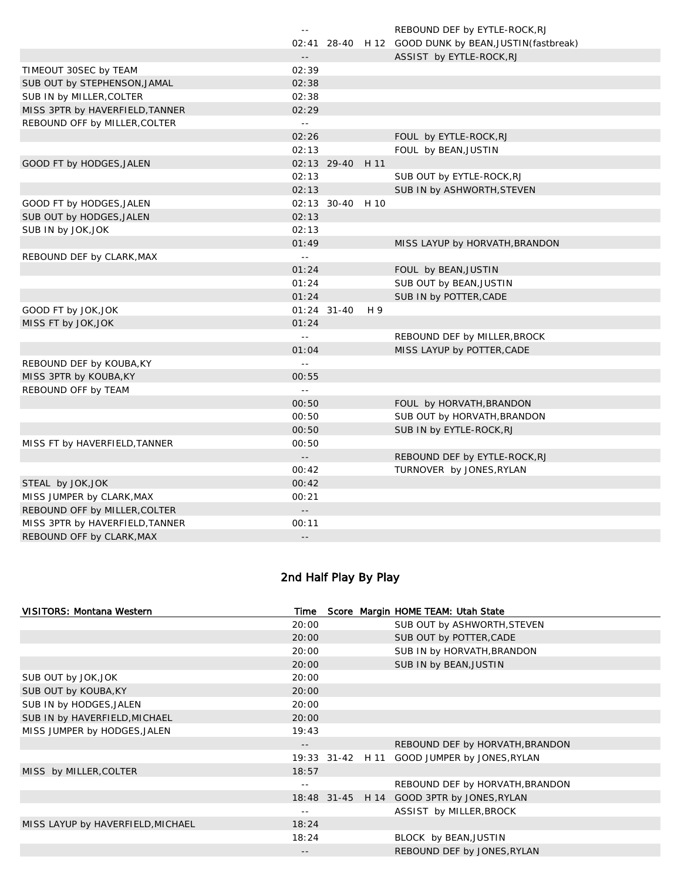|                                 | $\sim$ $-$                                    |                  |     | REBOUND DEF by EYTLE-ROCK, RJ                          |
|---------------------------------|-----------------------------------------------|------------------|-----|--------------------------------------------------------|
|                                 |                                               |                  |     | 02:41 28-40 H 12 GOOD DUNK by BEAN, JUSTIN (fastbreak) |
|                                 | $\mathord{\hspace{1pt}\text{--}\hspace{1pt}}$ |                  |     | ASSIST by EYTLE-ROCK, RJ                               |
| TIMEOUT 30SEC by TEAM           | 02:39                                         |                  |     |                                                        |
| SUB OUT by STEPHENSON, JAMAL    | 02:38                                         |                  |     |                                                        |
| SUB IN by MILLER, COLTER        | 02:38                                         |                  |     |                                                        |
| MISS 3PTR by HAVERFIELD, TANNER | 02:29                                         |                  |     |                                                        |
| REBOUND OFF by MILLER, COLTER   | $\sim$ $\sim$                                 |                  |     |                                                        |
|                                 | 02:26                                         |                  |     | FOUL by EYTLE-ROCK, RJ                                 |
|                                 | 02:13                                         |                  |     | FOUL by BEAN, JUSTIN                                   |
| GOOD FT by HODGES, JALEN        |                                               | 02:13 29-40 H 11 |     |                                                        |
|                                 | 02:13                                         |                  |     | SUB OUT by EYTLE-ROCK, RJ                              |
|                                 | 02:13                                         |                  |     | SUB IN by ASHWORTH, STEVEN                             |
| GOOD FT by HODGES, JALEN        |                                               | 02:13 30-40 H 10 |     |                                                        |
| SUB OUT by HODGES, JALEN        | 02:13                                         |                  |     |                                                        |
| SUB IN by JOK, JOK              | 02:13                                         |                  |     |                                                        |
|                                 | 01:49                                         |                  |     | MISS LAYUP by HORVATH, BRANDON                         |
| REBOUND DEF by CLARK, MAX       | $\sim$ $\sim$                                 |                  |     |                                                        |
|                                 | 01:24                                         |                  |     | FOUL by BEAN, JUSTIN                                   |
|                                 | 01:24                                         |                  |     | SUB OUT by BEAN, JUSTIN                                |
|                                 | 01:24                                         |                  |     | SUB IN by POTTER, CADE                                 |
| GOOD FT by JOK, JOK             |                                               | $01:24$ 31-40    | H 9 |                                                        |
| MISS FT by JOK, JOK             | 01:24                                         |                  |     |                                                        |
|                                 | $\sim$ $\sim$                                 |                  |     | REBOUND DEF by MILLER, BROCK                           |
|                                 | 01:04                                         |                  |     | MISS LAYUP by POTTER, CADE                             |
| REBOUND DEF by KOUBA, KY        | LL.                                           |                  |     |                                                        |
| MISS 3PTR by KOUBA, KY          | 00:55                                         |                  |     |                                                        |
| REBOUND OFF by TEAM             | $\perp$ $\perp$                               |                  |     |                                                        |
|                                 | 00:50                                         |                  |     | FOUL by HORVATH, BRANDON                               |
|                                 | 00:50                                         |                  |     | SUB OUT by HORVATH, BRANDON                            |
|                                 | 00:50                                         |                  |     | SUB IN by EYTLE-ROCK, RJ                               |
| MISS FT by HAVERFIELD, TANNER   | 00:50                                         |                  |     |                                                        |
|                                 | $\overline{\phantom{a}}$ .                    |                  |     | REBOUND DEF by EYTLE-ROCK, RJ                          |
|                                 | 00:42                                         |                  |     | TURNOVER by JONES, RYLAN                               |
| STEAL by JOK, JOK               | 00:42                                         |                  |     |                                                        |
| MISS JUMPER by CLARK, MAX       | 00:21                                         |                  |     |                                                        |
| REBOUND OFF by MILLER, COLTER   | $\sim$ $-$                                    |                  |     |                                                        |
| MISS 3PTR by HAVERFIELD, TANNER | 00:11                                         |                  |     |                                                        |
| REBOUND OFF by CLARK, MAX       | $-1$                                          |                  |     |                                                        |
|                                 |                                               |                  |     |                                                        |

# 2nd Half Play By Play

| <b>VISITORS: Montana Western</b>  | Time  |  | Score Margin HOME TEAM: Utah State           |
|-----------------------------------|-------|--|----------------------------------------------|
|                                   | 20:00 |  | SUB OUT by ASHWORTH, STEVEN                  |
|                                   | 20:00 |  | SUB OUT by POTTER, CADE                      |
|                                   | 20:00 |  | SUB IN by HORVATH, BRANDON                   |
|                                   | 20:00 |  | SUB IN by BEAN, JUSTIN                       |
| SUB OUT by JOK, JOK               | 20:00 |  |                                              |
| SUB OUT by KOUBA, KY              | 20:00 |  |                                              |
| SUB IN by HODGES, JALEN           | 20:00 |  |                                              |
| SUB IN by HAVERFIELD, MICHAEL     | 20:00 |  |                                              |
| MISS JUMPER by HODGES, JALEN      | 19:43 |  |                                              |
|                                   | $- -$ |  | REBOUND DEF by HORVATH, BRANDON              |
|                                   |       |  | 19:33 31-42 H 11 GOOD JUMPER by JONES, RYLAN |
| MISS by MILLER, COLTER            | 18:57 |  |                                              |
|                                   |       |  | REBOUND DEF by HORVATH, BRANDON              |
|                                   |       |  | 18:48 31-45 H 14 GOOD 3PTR by JONES, RYLAN   |
|                                   | $- -$ |  | ASSIST by MILLER, BROCK                      |
| MISS LAYUP by HAVERFIELD, MICHAEL | 18:24 |  |                                              |
|                                   | 18:24 |  | BLOCK by BEAN, JUSTIN                        |
|                                   | $- -$ |  | REBOUND DEF by JONES, RYLAN                  |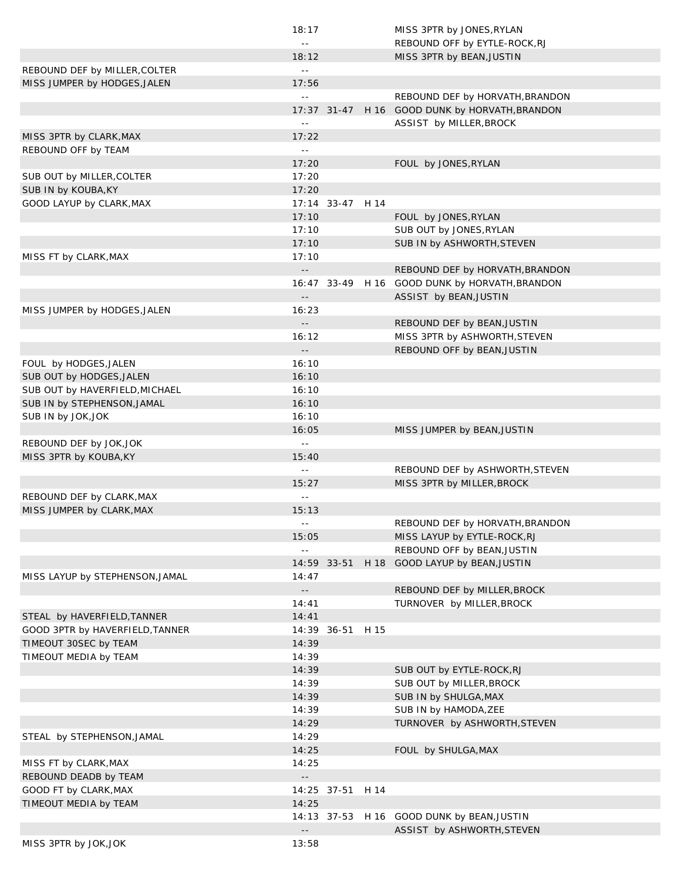|                                                   | 18:17                      |                  | MISS 3PTR by JONES, RYLAN                                     |
|---------------------------------------------------|----------------------------|------------------|---------------------------------------------------------------|
|                                                   | $\sim$ $\sim$              |                  | REBOUND OFF by EYTLE-ROCK, RJ                                 |
|                                                   | 18:12                      |                  | MISS 3PTR by BEAN, JUSTIN                                     |
| REBOUND DEF by MILLER, COLTER                     | $\equiv$ $\equiv$          |                  |                                                               |
| MISS JUMPER by HODGES, JALEN                      | 17:56                      |                  |                                                               |
|                                                   | $\mathbb{L} \mathbb{L}$    |                  | REBOUND DEF by HORVATH, BRANDON                               |
|                                                   |                            | $17:37$ 31-47    | H 16 GOOD DUNK by HORVATH, BRANDON                            |
|                                                   | $\sim$ $-$                 |                  | ASSIST by MILLER, BROCK                                       |
| MISS 3PTR by CLARK, MAX                           | 17:22                      |                  |                                                               |
| REBOUND OFF by TEAM                               | $\sim$ $-$                 |                  |                                                               |
|                                                   | 17:20                      |                  | FOUL by JONES, RYLAN                                          |
| SUB OUT by MILLER, COLTER                         | 17:20                      |                  |                                                               |
| SUB IN by KOUBA, KY                               | 17:20                      |                  |                                                               |
| GOOD LAYUP by CLARK, MAX                          |                            | 17:14 33-47 H 14 |                                                               |
|                                                   | 17:10                      |                  | FOUL by JONES, RYLAN                                          |
|                                                   | 17:10                      |                  | SUB OUT by JONES, RYLAN                                       |
|                                                   | 17:10                      |                  | SUB IN by ASHWORTH, STEVEN                                    |
| MISS FT by CLARK, MAX                             | 17:10                      |                  |                                                               |
|                                                   | $\perp$ .                  |                  | REBOUND DEF by HORVATH, BRANDON                               |
|                                                   |                            |                  | 16:47 33-49 H 16 GOOD DUNK by HORVATH, BRANDON                |
|                                                   |                            |                  | ASSIST by BEAN, JUSTIN                                        |
| MISS JUMPER by HODGES, JALEN                      | 16:23                      |                  |                                                               |
|                                                   | $-1$                       |                  | REBOUND DEF by BEAN, JUSTIN                                   |
|                                                   | 16:12                      |                  | MISS 3PTR by ASHWORTH, STEVEN                                 |
|                                                   | $\sim$ $\sim$              |                  | REBOUND OFF by BEAN, JUSTIN                                   |
| FOUL by HODGES, JALEN                             | 16:10                      |                  |                                                               |
| SUB OUT by HODGES, JALEN                          | 16:10                      |                  |                                                               |
| SUB OUT by HAVERFIELD, MICHAEL                    | 16:10                      |                  |                                                               |
| SUB IN by STEPHENSON, JAMAL                       | 16:10                      |                  |                                                               |
| SUB IN by JOK, JOK                                | 16:10                      |                  |                                                               |
|                                                   | 16:05                      |                  | MISS JUMPER by BEAN, JUSTIN                                   |
|                                                   |                            |                  |                                                               |
|                                                   | $\sim$ $\sim$              |                  |                                                               |
| REBOUND DEF by JOK, JOK<br>MISS 3PTR by KOUBA, KY | 15:40                      |                  |                                                               |
|                                                   | $\sim$ $\sim$              |                  |                                                               |
|                                                   | 15:27                      |                  | REBOUND DEF by ASHWORTH, STEVEN<br>MISS 3PTR by MILLER, BROCK |
| REBOUND DEF by CLARK, MAX                         | $\sim$ $-$                 |                  |                                                               |
| MISS JUMPER by CLARK, MAX                         | 15:13                      |                  |                                                               |
|                                                   |                            |                  | REBOUND DEF by HORVATH, BRANDON                               |
|                                                   | 15:05                      |                  | MISS LAYUP by EYTLE-ROCK, RJ                                  |
|                                                   | $\sim$ $-$                 |                  | REBOUND OFF by BEAN, JUSTIN                                   |
|                                                   |                            |                  | 14:59 33-51 H 18 GOOD LAYUP by BEAN, JUSTIN                   |
|                                                   | 14:47                      |                  |                                                               |
| MISS LAYUP by STEPHENSON, JAMAL                   | $\sim$ $-$                 |                  | REBOUND DEF by MILLER, BROCK                                  |
|                                                   | 14:41                      |                  | TURNOVER by MILLER, BROCK                                     |
| STEAL by HAVERFIELD, TANNER                       | 14:41                      |                  |                                                               |
| GOOD 3PTR by HAVERFIELD, TANNER                   |                            | 14:39 36-51 H 15 |                                                               |
| TIMEOUT 30SEC by TEAM                             | 14:39                      |                  |                                                               |
| TIMEOUT MEDIA by TEAM                             | 14:39                      |                  |                                                               |
|                                                   | 14:39                      |                  |                                                               |
|                                                   | 14:39                      |                  | SUB OUT by EYTLE-ROCK, RJ                                     |
|                                                   | 14:39                      |                  | SUB OUT by MILLER, BROCK<br>SUB IN by SHULGA, MAX             |
|                                                   | 14:39                      |                  |                                                               |
|                                                   |                            |                  | SUB IN by HAMODA, ZEE                                         |
| STEAL by STEPHENSON, JAMAL                        | 14:29<br>14:29             |                  | TURNOVER by ASHWORTH, STEVEN                                  |
|                                                   |                            |                  |                                                               |
| MISS FT by CLARK, MAX                             | 14:25<br>14:25             |                  | FOUL by SHULGA, MAX                                           |
| REBOUND DEADB by TEAM                             | $\overline{\phantom{a}}$ . |                  |                                                               |
|                                                   |                            | 14:25 37-51 H 14 |                                                               |
| GOOD FT by CLARK, MAX                             | 14:25                      |                  |                                                               |
| TIMEOUT MEDIA by TEAM                             |                            |                  |                                                               |
|                                                   | $\overline{\phantom{a}}$ . |                  | 14:13 37-53 H 16 GOOD DUNK by BEAN, JUSTIN                    |
| MISS 3PTR by JOK, JOK                             | 13:58                      |                  | ASSIST by ASHWORTH, STEVEN                                    |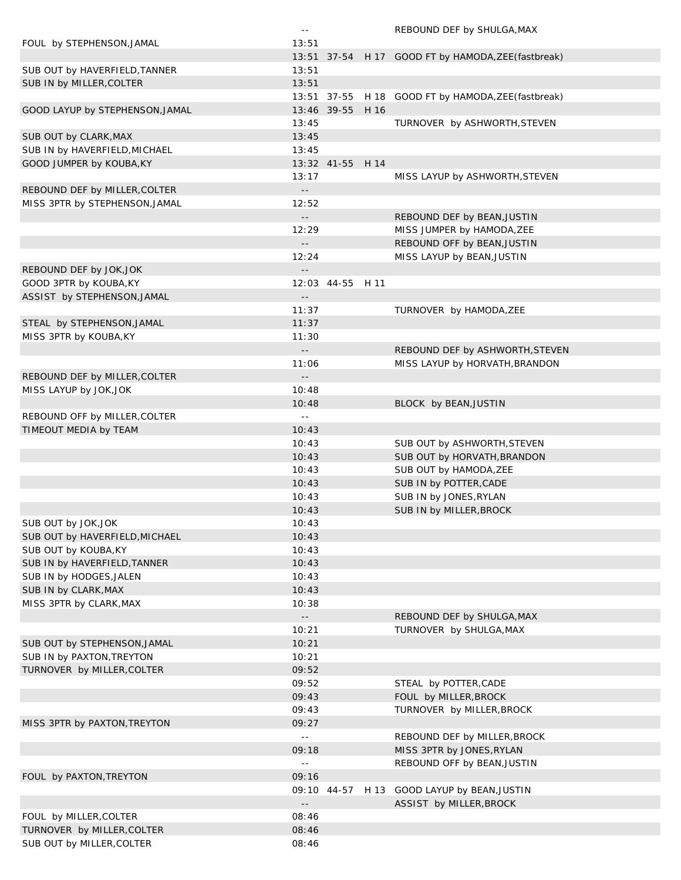|                                 | $\sim$ $-$                 |                  | REBOUND DEF by SHULGA, MAX                          |
|---------------------------------|----------------------------|------------------|-----------------------------------------------------|
| FOUL by STEPHENSON, JAMAL       | 13:51                      |                  |                                                     |
|                                 |                            |                  | 13:51 37-54 H 17 GOOD FT by HAMODA, ZEE (fastbreak) |
| SUB OUT by HAVERFIELD, TANNER   | 13:51                      |                  |                                                     |
| SUB IN by MILLER, COLTER        | 13:51                      |                  |                                                     |
|                                 |                            |                  | 13:51 37-55 H 18 GOOD FT by HAMODA, ZEE (fastbreak) |
|                                 |                            | 13:46 39-55 H 16 |                                                     |
| GOOD LAYUP by STEPHENSON, JAMAL |                            |                  |                                                     |
|                                 | 13:45                      |                  | TURNOVER by ASHWORTH, STEVEN                        |
| SUB OUT by CLARK, MAX           | 13:45                      |                  |                                                     |
| SUB IN by HAVERFIELD, MICHAEL   | 13:45                      |                  |                                                     |
| GOOD JUMPER by KOUBA, KY        |                            | 13:32 41-55 H 14 |                                                     |
|                                 | 13:17                      |                  | MISS LAYUP by ASHWORTH, STEVEN                      |
| REBOUND DEF by MILLER, COLTER   | $ -$                       |                  |                                                     |
| MISS 3PTR by STEPHENSON, JAMAL  | 12:52                      |                  |                                                     |
|                                 | $\sim$ $-$                 |                  | REBOUND DEF by BEAN, JUSTIN                         |
|                                 | 12:29                      |                  | MISS JUMPER by HAMODA, ZEE                          |
|                                 | $\sim$ $-$                 |                  | REBOUND OFF by BEAN, JUSTIN                         |
|                                 | 12:24                      |                  | MISS LAYUP by BEAN, JUSTIN                          |
| REBOUND DEF by JOK, JOK         | $- -$                      |                  |                                                     |
| GOOD 3PTR by KOUBA, KY          |                            | 12:03 44-55 H 11 |                                                     |
| ASSIST by STEPHENSON, JAMAL     | $- -$                      |                  |                                                     |
|                                 | 11:37                      |                  | TURNOVER by HAMODA, ZEE                             |
|                                 |                            |                  |                                                     |
| STEAL by STEPHENSON, JAMAL      | 11:37                      |                  |                                                     |
| MISS 3PTR by KOUBA, KY          | 11:30                      |                  |                                                     |
|                                 | $\sim$ $-$                 |                  | REBOUND DEF by ASHWORTH, STEVEN                     |
|                                 | 11:06                      |                  | MISS LAYUP by HORVATH, BRANDON                      |
| REBOUND DEF by MILLER, COLTER   | $\overline{\phantom{a}}$ . |                  |                                                     |
| MISS LAYUP by JOK, JOK          | 10:48                      |                  |                                                     |
|                                 | 10:48                      |                  | BLOCK by BEAN, JUSTIN                               |
| REBOUND OFF by MILLER, COLTER   | $\sim$ $\sim$              |                  |                                                     |
| TIMEOUT MEDIA by TEAM           | 10:43                      |                  |                                                     |
|                                 | 10:43                      |                  | SUB OUT by ASHWORTH, STEVEN                         |
|                                 | 10:43                      |                  | SUB OUT by HORVATH, BRANDON                         |
|                                 | 10:43                      |                  | SUB OUT by HAMODA, ZEE                              |
|                                 | 10:43                      |                  | SUB IN by POTTER, CADE                              |
|                                 | 10:43                      |                  | SUB IN by JONES, RYLAN                              |
|                                 | 10:43                      |                  | SUB IN by MILLER, BROCK                             |
|                                 |                            |                  |                                                     |
| SUB OUT by JOK, JOK             | 10:43                      |                  |                                                     |
| SUB OUT by HAVERFIELD, MICHAEL  | 10:43                      |                  |                                                     |
| SUB OUT by KOUBA, KY            | 10:43                      |                  |                                                     |
| SUB IN by HAVERFIELD, TANNER    | 10:43                      |                  |                                                     |
| SUB IN by HODGES, JALEN         | 10:43                      |                  |                                                     |
| SUB IN by CLARK, MAX            | 10:43                      |                  |                                                     |
| MISS 3PTR by CLARK, MAX         | 10:38                      |                  |                                                     |
|                                 | $\sim$ $\sim$              |                  | REBOUND DEF by SHULGA, MAX                          |
|                                 | 10:21                      |                  | TURNOVER by SHULGA, MAX                             |
| SUB OUT by STEPHENSON, JAMAL    | 10:21                      |                  |                                                     |
| SUB IN by PAXTON, TREYTON       | 10:21                      |                  |                                                     |
| TURNOVER by MILLER, COLTER      | 09:52                      |                  |                                                     |
|                                 | 09:52                      |                  | STEAL by POTTER, CADE                               |
|                                 | 09:43                      |                  | FOUL by MILLER, BROCK                               |
|                                 | 09:43                      |                  |                                                     |
|                                 |                            |                  | TURNOVER by MILLER, BROCK                           |
| MISS 3PTR by PAXTON, TREYTON    | 09:27                      |                  |                                                     |
|                                 | $\sim$ $\sim$              |                  | REBOUND DEF by MILLER, BROCK                        |
|                                 | 09:18                      |                  | MISS 3PTR by JONES, RYLAN                           |
|                                 | $\sim$ $-$                 |                  | REBOUND OFF by BEAN, JUSTIN                         |
| FOUL by PAXTON, TREYTON         | 09:16                      |                  |                                                     |
|                                 |                            |                  | 09:10 44-57 H 13 GOOD LAYUP by BEAN, JUSTIN         |
|                                 | $ -$                       |                  | ASSIST by MILLER, BROCK                             |
| FOUL by MILLER, COLTER          | 08:46                      |                  |                                                     |
| TURNOVER by MILLER, COLTER      | 08:46                      |                  |                                                     |
| SUB OUT by MILLER, COLTER       | 08:46                      |                  |                                                     |
|                                 |                            |                  |                                                     |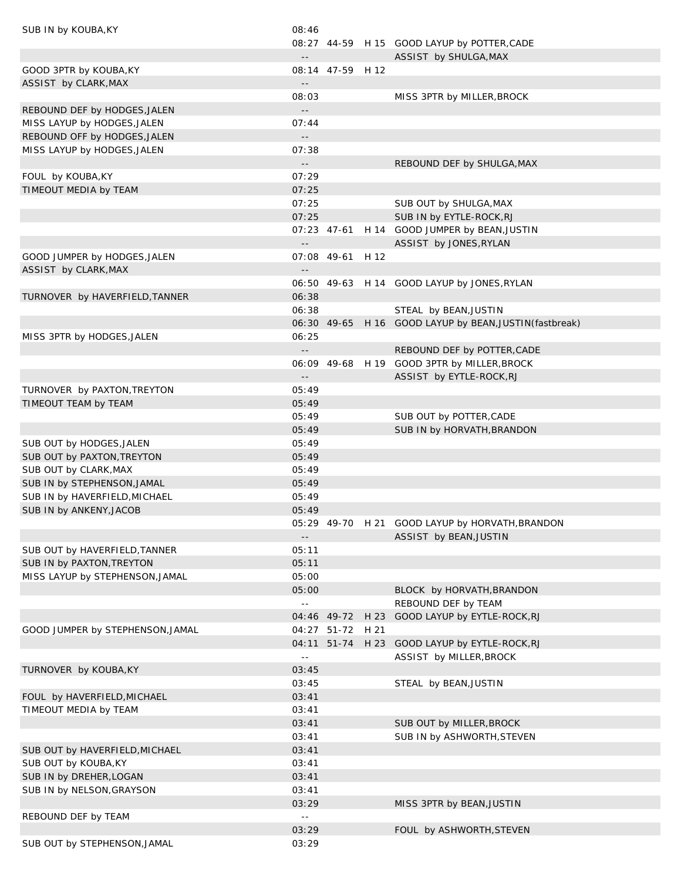| SUB IN by KOUBA, KY              | 08:46                                         |                  |                                                         |
|----------------------------------|-----------------------------------------------|------------------|---------------------------------------------------------|
|                                  |                                               |                  | 08:27 44-59 H 15 GOOD LAYUP by POTTER, CADE             |
|                                  | $\sim$ $\sim$                                 |                  | ASSIST by SHULGA, MAX                                   |
| GOOD 3PTR by KOUBA, KY           |                                               | 08:14 47-59 H 12 |                                                         |
| ASSIST by CLARK, MAX             | $\mathord{\hspace{1pt}\text{--}\hspace{1pt}}$ |                  |                                                         |
|                                  | 08:03                                         |                  | MISS 3PTR by MILLER, BROCK                              |
| REBOUND DEF by HODGES, JALEN     | $\omega_{\rm eff}$                            |                  |                                                         |
| MISS LAYUP by HODGES, JALEN      | 07:44                                         |                  |                                                         |
| REBOUND OFF by HODGES, JALEN     | $\mathbb{L}(\mathbb{L})$                      |                  |                                                         |
| MISS LAYUP by HODGES, JALEN      | 07:38                                         |                  |                                                         |
|                                  | $\mathbb{L}^{\mathbb{L}}$                     |                  | REBOUND DEF by SHULGA, MAX                              |
| FOUL by KOUBA, KY                | 07:29                                         |                  |                                                         |
| TIMEOUT MEDIA by TEAM            | 07:25                                         |                  |                                                         |
|                                  | 07:25                                         |                  | SUB OUT by SHULGA, MAX                                  |
|                                  | 07:25                                         |                  | SUB IN by EYTLE-ROCK, RJ                                |
|                                  |                                               |                  |                                                         |
|                                  |                                               |                  | 07:23 47-61 H 14 GOOD JUMPER by BEAN, JUSTIN            |
|                                  | $\sim$ $\sim$                                 |                  | ASSIST by JONES, RYLAN                                  |
| GOOD JUMPER by HODGES, JALEN     |                                               | 07:08 49-61 H 12 |                                                         |
| ASSIST by CLARK, MAX             | $\mathord{\hspace{1pt}\text{--}\hspace{1pt}}$ |                  |                                                         |
|                                  |                                               |                  | 06:50 49-63 H 14 GOOD LAYUP by JONES, RYLAN             |
| TURNOVER by HAVERFIELD, TANNER   | 06:38                                         |                  |                                                         |
|                                  | 06:38                                         |                  | STEAL by BEAN, JUSTIN                                   |
|                                  |                                               |                  | 06:30 49-65 H 16 GOOD LAYUP by BEAN, JUSTIN (fastbreak) |
| MISS 3PTR by HODGES, JALEN       | 06:25                                         |                  |                                                         |
|                                  | $\sim$ $\sim$                                 |                  | REBOUND DEF by POTTER, CADE                             |
|                                  |                                               |                  | 06:09 49-68 H 19 GOOD 3PTR by MILLER, BROCK             |
|                                  | $\sim$ $\sim$                                 |                  | ASSIST by EYTLE-ROCK, RJ                                |
| TURNOVER by PAXTON, TREYTON      | 05:49                                         |                  |                                                         |
| TIMEOUT TEAM by TEAM             | 05:49                                         |                  |                                                         |
|                                  | 05:49                                         |                  | SUB OUT by POTTER, CADE                                 |
|                                  | 05:49                                         |                  | SUB IN by HORVATH, BRANDON                              |
| SUB OUT by HODGES, JALEN         | 05:49                                         |                  |                                                         |
| SUB OUT by PAXTON, TREYTON       | 05:49                                         |                  |                                                         |
| SUB OUT by CLARK, MAX            | 05:49                                         |                  |                                                         |
| SUB IN by STEPHENSON, JAMAL      | 05:49                                         |                  |                                                         |
| SUB IN by HAVERFIELD, MICHAEL    | 05:49                                         |                  |                                                         |
|                                  | 05:49                                         |                  |                                                         |
| SUB IN by ANKENY, JACOB          |                                               |                  | 05:29 49-70 H 21 GOOD LAYUP by HORVATH, BRANDON         |
|                                  |                                               |                  |                                                         |
|                                  | $\overline{\phantom{a}}$ .                    |                  | ASSIST by BEAN, JUSTIN                                  |
| SUB OUT by HAVERFIELD, TANNER    | 05:11                                         |                  |                                                         |
| SUB IN by PAXTON, TREYTON        | 05:11                                         |                  |                                                         |
| MISS LAYUP by STEPHENSON, JAMAL  | 05:00                                         |                  |                                                         |
|                                  | 05:00                                         |                  | BLOCK by HORVATH, BRANDON                               |
|                                  | $\sim$ $\sim$                                 |                  | REBOUND DEF by TEAM                                     |
|                                  |                                               | 04:46 49-72 H 23 | GOOD LAYUP by EYTLE-ROCK, RJ                            |
| GOOD JUMPER by STEPHENSON, JAMAL |                                               | 04:27 51-72 H 21 |                                                         |
|                                  |                                               |                  | 04:11 51-74 H 23 GOOD LAYUP by EYTLE-ROCK, RJ           |
|                                  | $\sim$ $\sim$                                 |                  | ASSIST by MILLER, BROCK                                 |
| TURNOVER by KOUBA, KY            | 03:45                                         |                  |                                                         |
|                                  | 03:45                                         |                  | STEAL by BEAN, JUSTIN                                   |
| FOUL by HAVERFIELD, MICHAEL      | 03:41                                         |                  |                                                         |
| TIMEOUT MEDIA by TEAM            | 03:41                                         |                  |                                                         |
|                                  | 03:41                                         |                  | SUB OUT by MILLER, BROCK                                |
|                                  | 03:41                                         |                  | SUB IN by ASHWORTH, STEVEN                              |
| SUB OUT by HAVERFIELD, MICHAEL   | 03:41                                         |                  |                                                         |
| SUB OUT by KOUBA, KY             | 03:41                                         |                  |                                                         |
| SUB IN by DREHER, LOGAN          | 03:41                                         |                  |                                                         |
| SUB IN by NELSON, GRAYSON        | 03:41                                         |                  |                                                         |
|                                  | 03:29                                         |                  | MISS 3PTR by BEAN, JUSTIN                               |
| REBOUND DEF by TEAM              | $\sim$ $\sim$                                 |                  |                                                         |
|                                  |                                               |                  |                                                         |
|                                  | 03:29                                         |                  | FOUL by ASHWORTH, STEVEN                                |
| SUB OUT by STEPHENSON, JAMAL     | 03:29                                         |                  |                                                         |